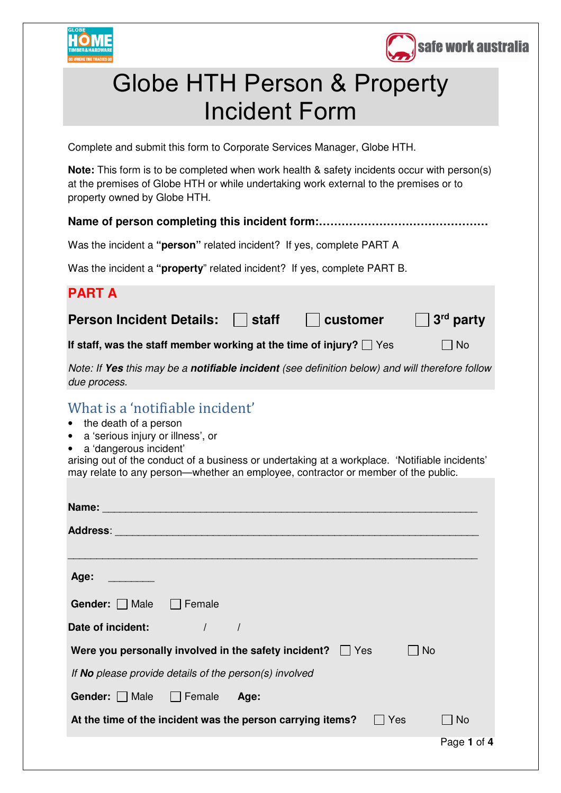



## Globe HTH Person & Property Incident Form

Complete and submit this form to Corporate Services Manager, Globe HTH.

**Note:** This form is to be completed when work health & safety incidents occur with person(s) at the premises of Globe HTH or while undertaking work external to the premises or to property owned by Globe HTH.

## **Name of person completing this incident form:………………………………………**

Was the incident a **"person"** related incident? If yes, complete PART A

Was the incident a **"property**" related incident? If yes, complete PART B.

## **PART A**

**Person Incident Details: Staff customer 3<sup>rd</sup> party** 

If staff, was the staff member working at the time of injury?  $\Box$  Yes  $\Box$  No

*Note: If Yes this may be a notifiable incident (see definition below) and will therefore follow due process.* 

## What is a 'notifiable incident'

- the death of a person
- a 'serious injury or illness', or
- a 'dangerous incident'

arising out of the conduct of a business or undertaking at a workplace. 'Notifiable incidents' may relate to any person—whether an employee, contractor or member of the public.

| <b>Name: Name: Name: Name: Name: Name:</b>                                |             |
|---------------------------------------------------------------------------|-------------|
|                                                                           |             |
|                                                                           |             |
| Age: ________                                                             |             |
| <b>Gender:</b> $\Box$ Male $\Box$ Female                                  |             |
| Date of incident: The Mate of incident:                                   |             |
| Were you personally involved in the safety incident? $\Box$ Yes<br>$ $ No |             |
| If <b>No</b> please provide details of the person(s) involved             |             |
| Gender: Male Female Age:                                                  |             |
| At the time of the incident was the person carrying items? $\Box$ Yes     | $ $ No      |
|                                                                           | Page 1 of 4 |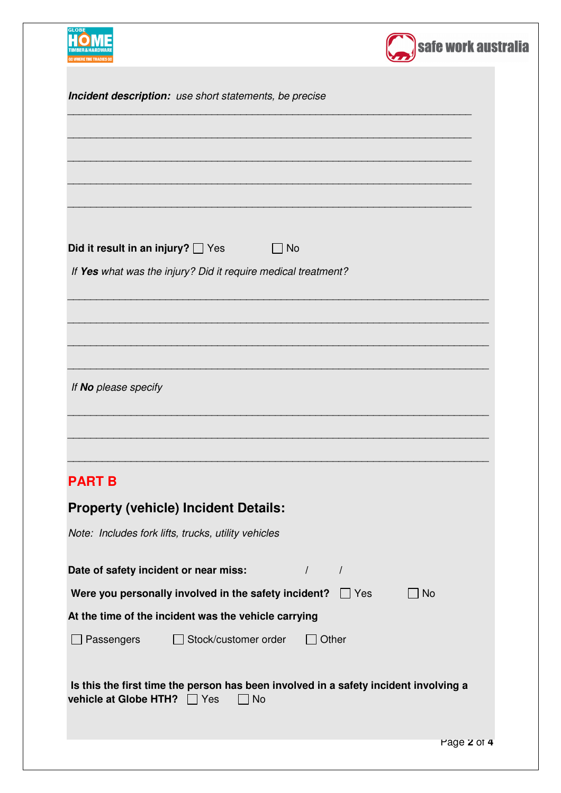| <b>GLOBE</b>                                                                                                                     | safe work australia |
|----------------------------------------------------------------------------------------------------------------------------------|---------------------|
| Incident description: use short statements, be precise                                                                           |                     |
|                                                                                                                                  |                     |
|                                                                                                                                  |                     |
|                                                                                                                                  |                     |
| Did it result in an injury? $\Box$ Yes<br>$\sqcap$ No                                                                            |                     |
| If Yes what was the injury? Did it require medical treatment?                                                                    |                     |
|                                                                                                                                  |                     |
|                                                                                                                                  |                     |
|                                                                                                                                  |                     |
| If No please specify                                                                                                             |                     |
| <b>PART B</b>                                                                                                                    |                     |
| <b>Property (vehicle) Incident Details:</b>                                                                                      |                     |
| Note: Includes fork lifts, trucks, utility vehicles                                                                              |                     |
| $\sqrt{ }$<br>Date of safety incident or near miss:<br>$\sqrt{ }$                                                                |                     |
| Were you personally involved in the safety incident? $\Box$ Yes                                                                  | <b>No</b>           |
| At the time of the incident was the vehicle carrying                                                                             |                     |
| Passengers<br>Stock/customer order<br>Other                                                                                      |                     |
| Is this the first time the person has been involved in a safety incident involving a<br>vehicle at Globe HTH? □ Yes<br><b>No</b> |                     |
|                                                                                                                                  | Page 2 of 4         |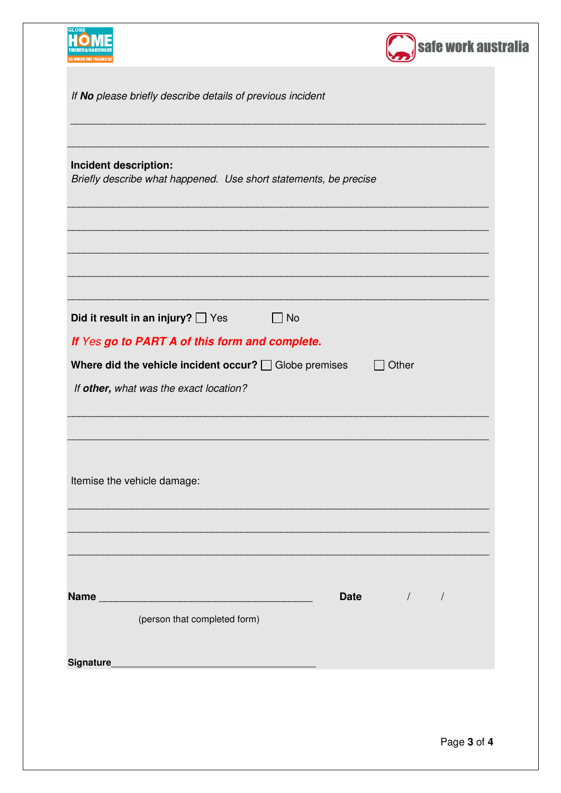| <b>GLOBI</b>                                                                                                  | safe work australia |
|---------------------------------------------------------------------------------------------------------------|---------------------|
| If No please briefly describe details of previous incident                                                    |                     |
| Incident description:                                                                                         |                     |
| Briefly describe what happened. Use short statements, be precise                                              |                     |
|                                                                                                               |                     |
| Did it result in an injury? $\Box$ Yes<br>$\Box$ No                                                           |                     |
| If Yes go to PART A of this form and complete.<br>Where did the vehicle incident occur? $\Box$ Globe premises | Other               |
| If other, what was the exact location?                                                                        |                     |
|                                                                                                               |                     |
| Itemise the vehicle damage:                                                                                   |                     |
|                                                                                                               |                     |
|                                                                                                               |                     |
| (person that completed form)                                                                                  | Date / /            |
|                                                                                                               |                     |
|                                                                                                               |                     |